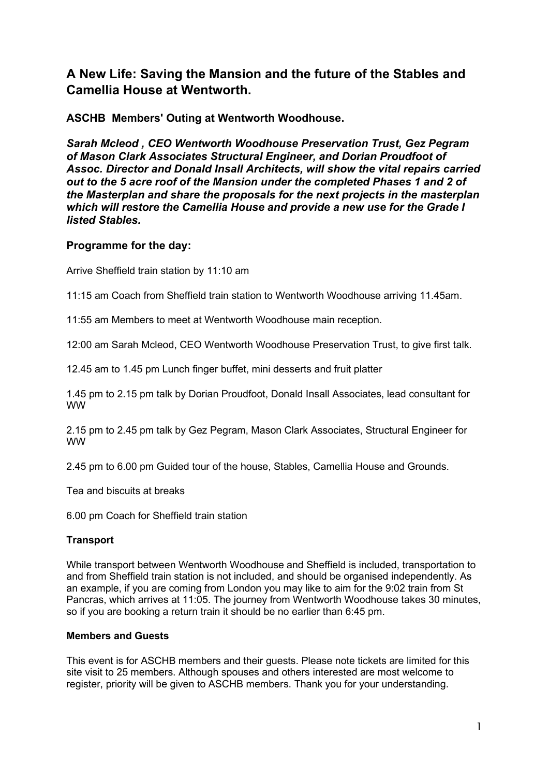# **A New Life: Saving the Mansion and the future of the Stables and Camellia House at Wentworth.**

**ASCHB Members' Outing at Wentworth Woodhouse.**

*Sarah Mcleod , CEO Wentworth Woodhouse Preservation Trust, Gez Pegram of Mason Clark Associates Structural Engineer, and Dorian Proudfoot of Assoc. Director and Donald Insall Architects, will show the vital repairs carried out to the 5 acre roof of the Mansion under the completed Phases 1 and 2 of the Masterplan and share the proposals for the next projects in the masterplan which will restore the Camellia House and provide a new use for the Grade I listed Stables.*

# **Programme for the day:**

Arrive Sheffield train station by 11:10 am

11:15 am Coach from Sheffield train station to Wentworth Woodhouse arriving 11.45am.

11:55 am Members to meet at Wentworth Woodhouse main reception.

12:00 am Sarah Mcleod, CEO Wentworth Woodhouse Preservation Trust, to give first talk.

12.45 am to 1.45 pm Lunch finger buffet, mini desserts and fruit platter

1.45 pm to 2.15 pm talk by Dorian Proudfoot, Donald Insall Associates, lead consultant for WW

2.15 pm to 2.45 pm talk by Gez Pegram, Mason Clark Associates, Structural Engineer for WW

2.45 pm to 6.00 pm Guided tour of the house, Stables, Camellia House and Grounds.

Tea and biscuits at breaks

6.00 pm Coach for Sheffield train station

## **Transport**

While transport between Wentworth Woodhouse and Sheffield is included, transportation to and from Sheffield train station is not included, and should be organised independently. As an example, if you are coming from London you may like to aim for the 9:02 train from St Pancras, which arrives at 11:05. The journey from Wentworth Woodhouse takes 30 minutes, so if you are booking a return train it should be no earlier than 6:45 pm.

## **Members and Guests**

This event is for ASCHB members and their guests. Please note tickets are limited for this site visit to 25 members. Although spouses and others interested are most welcome to register, priority will be given to ASCHB members. Thank you for your understanding.